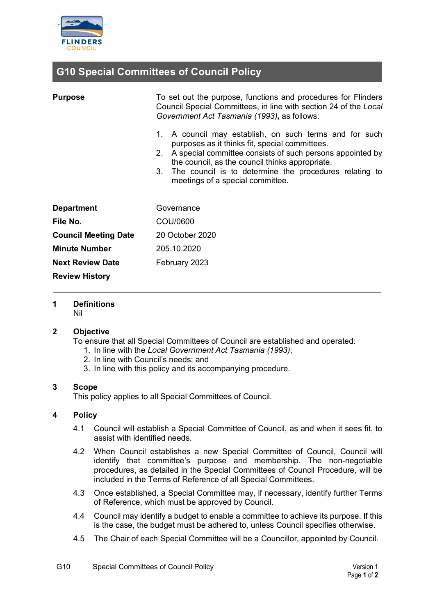

# **G10 Special Committees of Council Policy**

| <b>Purpose</b>              | To set out the purpose, functions and procedures for Flinders<br>Council Special Committees, in line with section 24 of the Local<br>Government Act Tasmania (1993), as follows:                                                                                                                                                   |
|-----------------------------|------------------------------------------------------------------------------------------------------------------------------------------------------------------------------------------------------------------------------------------------------------------------------------------------------------------------------------|
|                             | A council may establish, on such terms and for such<br>1.<br>purposes as it thinks fit, special committees.<br>A special committee consists of such persons appointed by<br>2.<br>the council, as the council thinks appropriate.<br>3. The council is to determine the procedures relating to<br>meetings of a special committee. |
| <b>Department</b>           | Governance                                                                                                                                                                                                                                                                                                                         |
| File No.                    | COU/0600                                                                                                                                                                                                                                                                                                                           |
| <b>Council Meeting Date</b> | 20 October 2020                                                                                                                                                                                                                                                                                                                    |
| <b>Minute Number</b>        | 205.10.2020                                                                                                                                                                                                                                                                                                                        |
| <b>Next Review Date</b>     | February 2023                                                                                                                                                                                                                                                                                                                      |
| <b>Review History</b>       |                                                                                                                                                                                                                                                                                                                                    |

#### **1 Definitions** Nil

## **2 Objective**

To ensure that all Special Committees of Council are established and operated:

- 1. In line with the *Local Government Act Tasmania (1993)*;
- 2. In line with Council's needs; and
- 3. In line with this policy and its accompanying procedure.

### **3 Scope**

This policy applies to all Special Committees of Council.

### **4 Policy**

- 4.1 Council will establish a Special Committee of Council, as and when it sees fit, to assist with identified needs.
- 4.2 When Council establishes a new Special Committee of Council, Council will identify that committee's purpose and membership. The non-negotiable procedures, as detailed in the Special Committees of Council Procedure, will be included in the Terms of Reference of all Special Committees.
- 4.3 Once established, a Special Committee may, if necessary, identify further Terms of Reference, which must be approved by Council.
- 4.4 Council may identify a budget to enable a committee to achieve its purpose. If this is the case, the budget must be adhered to, unless Council specifies otherwise.
- 4.5 The Chair of each Special Committee will be a Councillor, appointed by Council.